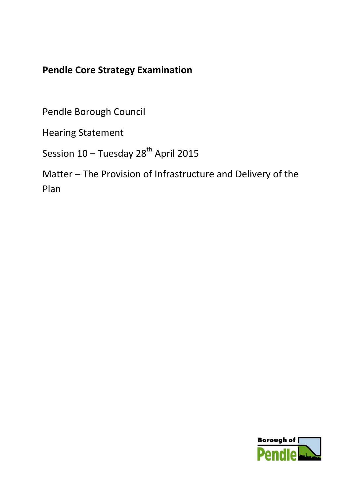# **Pendle Core Strategy Examination**

Pendle Borough Council

Hearing Statement

Session  $10 -$  Tuesday 28<sup>th</sup> April 2015

Matter – The Provision of Infrastructure and Delivery of the Plan

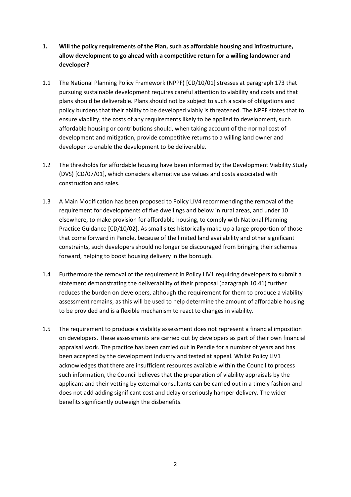- **1. Will the policy requirements of the Plan, such as affordable housing and infrastructure, allow development to go ahead with a competitive return for a willing landowner and developer?**
- 1.1 The National Planning Policy Framework (NPPF) [CD/10/01] stresses at paragraph 173 that pursuing sustainable development requires careful attention to viability and costs and that plans should be deliverable. Plans should not be subject to such a scale of obligations and policy burdens that their ability to be developed viably is threatened. The NPPF states that to ensure viability, the costs of any requirements likely to be applied to development, such affordable housing or contributions should, when taking account of the normal cost of development and mitigation, provide competitive returns to a willing land owner and developer to enable the development to be deliverable.
- 1.2 The thresholds for affordable housing have been informed by the Development Viability Study (DVS) [CD/07/01], which considers alternative use values and costs associated with construction and sales.
- 1.3 A Main Modification has been proposed to Policy LIV4 recommending the removal of the requirement for developments of five dwellings and below in rural areas, and under 10 elsewhere, to make provision for affordable housing, to comply with National Planning Practice Guidance [CD/10/02]. As small sites historically make up a large proportion of those that come forward in Pendle, because of the limited land availability and other significant constraints, such developers should no longer be discouraged from bringing their schemes forward, helping to boost housing delivery in the borough.
- 1.4 Furthermore the removal of the requirement in Policy LIV1 requiring developers to submit a statement demonstrating the deliverability of their proposal (paragraph 10.41) further reduces the burden on developers, although the requirement for them to produce a viability assessment remains, as this will be used to help determine the amount of affordable housing to be provided and is a flexible mechanism to react to changes in viability.
- 1.5 The requirement to produce a viability assessment does not represent a financial imposition on developers. These assessments are carried out by developers as part of their own financial appraisal work. The practice has been carried out in Pendle for a number of years and has been accepted by the development industry and tested at appeal. Whilst Policy LIV1 acknowledges that there are insufficient resources available within the Council to process such information, the Council believes that the preparation of viability appraisals by the applicant and their vetting by external consultants can be carried out in a timely fashion and does not add adding significant cost and delay or seriously hamper delivery. The wider benefits significantly outweigh the disbenefits.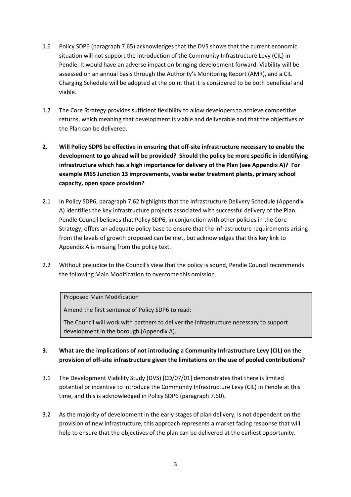- 1.6 Policy SDP6 (paragraph 7.65) acknowledges that the DVS shows that the current economic situation will not support the introduction of the Community Infrastructure Levy (CIL) in Pendle. It would have an adverse impact on bringing development forward. Viability will be assessed on an annual basis through the Authority's Monitoring Report (AMR), and a CIL Charging Schedule will be adopted at the point that it is considered to be both beneficial and viable.
- 1.7 The Core Strategy provides sufficient flexibility to allow developers to achieve competitive returns, which meaning that development is viable and deliverable and that the objectives of the Plan can be delivered.
- **2. Will Policy SDP6 be effective in ensuring that off-site infrastructure necessary to enable the development to go ahead will be provided? Should the policy be more specific in identifying infrastructure which has a high importance for delivery of the Plan (see Appendix A)? For example M65 Junction 13 improvements, waste water treatment plants, primary school capacity, open space provision?**
- 2.1 In Policy SDP6, paragraph 7.62 highlights that the Infrastructure Delivery Schedule (Appendix A) identifies the key infrastructure projects associated with successful delivery of the Plan. Pendle Council believes that Policy SDP6, in conjunction with other policies in the Core Strategy, offers an adequate policy base to ensure that the infrastructure requirements arising from the levels of growth proposed can be met, but acknowledges that this key link to Appendix A is missing from the policy text.
- 2.2 Without prejudice to the Council's view that the policy is sound, Pendle Council recommends the following Main Modification to overcome this omission.

Proposed Main Modification

Amend the first sentence of Policy SDP6 to read:

The Council will work with partners to deliver the infrastructure necessary to support development in the borough (Appendix A).

- **3. What are the implications of not introducing a Community Infrastructure Levy (CIL) on the provision of off-site infrastructure given the limitations on the use of pooled contributions?**
- 3.1 The Development Viability Study (DVS) [CD/07/01] demonstrates that there is limited potential or incentive to introduce the Community Infrastructure Levy (CIL) in Pendle at this time, and this is acknowledged in Policy SDP6 (paragraph 7.60).
- 3.2 As the majority of development in the early stages of plan delivery, is not dependent on the provision of new infrastructure, this approach represents a market facing response that will help to ensure that the objectives of the plan can be delivered at the earliest opportunity.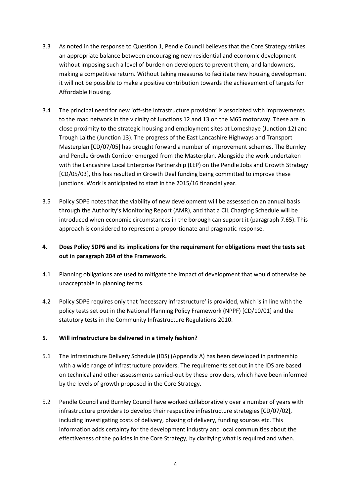- 3.3 As noted in the response to Question 1, Pendle Council believes that the Core Strategy strikes an appropriate balance between encouraging new residential and economic development without imposing such a level of burden on developers to prevent them, and landowners, making a competitive return. Without taking measures to facilitate new housing development it will not be possible to make a positive contribution towards the achievement of targets for Affordable Housing.
- 3.4 The principal need for new 'off-site infrastructure provision' is associated with improvements to the road network in the vicinity of Junctions 12 and 13 on the M65 motorway. These are in close proximity to the strategic housing and employment sites at Lomeshaye (Junction 12) and Trough Laithe (Junction 13). The progress of the East Lancashire Highways and Transport Masterplan [CD/07/05] has brought forward a number of improvement schemes. The Burnley and Pendle Growth Corridor emerged from the Masterplan. Alongside the work undertaken with the Lancashire Local Enterprise Partnership (LEP) on the Pendle Jobs and Growth Strategy [CD/05/03], this has resulted in Growth Deal funding being committed to improve these junctions. Work is anticipated to start in the 2015/16 financial year.
- 3.5 Policy SDP6 notes that the viability of new development will be assessed on an annual basis through the Authority's Monitoring Report (AMR), and that a CIL Charging Schedule will be introduced when economic circumstances in the borough can support it (paragraph 7.65). This approach is considered to represent a proportionate and pragmatic response.

# **4. Does Policy SDP6 and its implications for the requirement for obligations meet the tests set out in paragraph 204 of the Framework.**

- 4.1 Planning obligations are used to mitigate the impact of development that would otherwise be unacceptable in planning terms.
- 4.2 Policy SDP6 requires only that 'necessary infrastructure' is provided, which is in line with the policy tests set out in the National Planning Policy Framework (NPPF) [CD/10/01] and the statutory tests in the Community Infrastructure Regulations 2010.

## **5. Will infrastructure be delivered in a timely fashion?**

- 5.1 The Infrastructure Delivery Schedule (IDS) (Appendix A) has been developed in partnership with a wide range of infrastructure providers. The requirements set out in the IDS are based on technical and other assessments carried-out by these providers, which have been informed by the levels of growth proposed in the Core Strategy.
- 5.2 Pendle Council and Burnley Council have worked collaboratively over a number of years with infrastructure providers to develop their respective infrastructure strategies [CD/07/02], including investigating costs of delivery, phasing of delivery, funding sources etc. This information adds certainty for the development industry and local communities about the effectiveness of the policies in the Core Strategy, by clarifying what is required and when.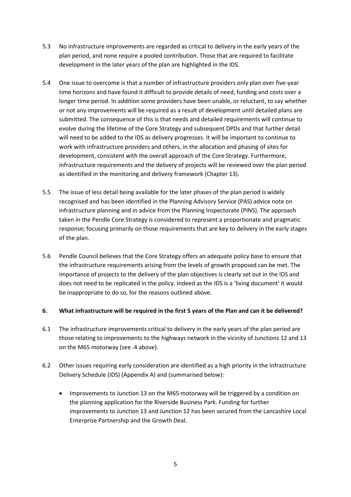- 5.3 No infrastructure improvements are regarded as critical to delivery in the early years of the plan period, and none require a pooled contribution. Those that are required to facilitate development in the later years of the plan are highlighted in the IDS.
- 5.4 One issue to overcome is that a number of infrastructure providers only plan over five-year time horizons and have found it difficult to provide details of need, funding and costs over a longer time period. In addition some providers have been unable, or reluctant, to say whether or not any improvements will be required as a result of development until detailed plans are submitted. The consequence of this is that needs and detailed requirements will continue to evolve during the lifetime of the Core Strategy and subsequent DPDs and that further detail will need to be added to the IDS as delivery progresses. It will be important to continue to work with infrastructure providers and others, in the allocation and phasing of sites for development, consistent with the overall approach of the Core Strategy. Furthermore, infrastructure requirements and the delivery of projects will be reviewed over the plan period as identified in the monitoring and delivery framework (Chapter 13).
- 5.5 The issue of less detail being available for the later phases of the plan period is widely recognised and has been identified in the Planning Advisory Service (PAS) advice note on infrastructure planning and in advice from the Planning Inspectorate (PINS). The approach taken in the Pendle Core Strategy is considered to represent a proportionate and pragmatic response; focusing primarily on those requirements that are key to delivery in the early stages of the plan.
- 5.6 Pendle Council believes that the Core Strategy offers an adequate policy base to ensure that the infrastructure requirements arising from the levels of growth proposed can be met. The importance of projects to the delivery of the plan objectives is clearly set out in the IDS and does not need to be replicated in the policy. Indeed as the IDS is a 'living document' it would be inappropriate to do so, for the reasons outlined above.

#### **6. What infrastructure will be required in the first 5 years of the Plan and can it be delivered?**

- 6.1 The infrastructure improvements critical to delivery in the early years of the plan period are those relating to improvements to the highways network in the vicinity of Junctions 12 and 13 on the M65 motorway (see .4 above).
- 6.2 Other issues requiring early consideration are identified as a high priority in the Infrastructure Delivery Schedule (IDS) (Appendix A) and (summarised below):
	- Improvements to Junction 13 on the M65 motorway will be triggered by a condition on the planning application for the Riverside Business Park. Funding for further improvements to Junction 13 and Junction 12 has been secured from the Lancashire Local Enterprise Partnership and the Growth Deal.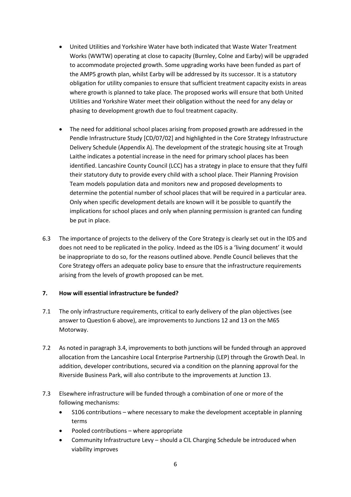- United Utilities and Yorkshire Water have both indicated that Waste Water Treatment Works (WWTW) operating at close to capacity (Burnley, Colne and Earby) will be upgraded to accommodate projected growth. Some upgrading works have been funded as part of the AMP5 growth plan, whilst Earby will be addressed by its successor. It is a statutory obligation for utility companies to ensure that sufficient treatment capacity exists in areas where growth is planned to take place. The proposed works will ensure that both United Utilities and Yorkshire Water meet their obligation without the need for any delay or phasing to development growth due to foul treatment capacity.
- The need for additional school places arising from proposed growth are addressed in the Pendle Infrastructure Study [CD/07/02] and highlighted in the Core Strategy Infrastructure Delivery Schedule (Appendix A). The development of the strategic housing site at Trough Laithe indicates a potential increase in the need for primary school places has been identified. Lancashire County Council (LCC) has a strategy in place to ensure that they fulfil their statutory duty to provide every child with a school place. Their Planning Provision Team models population data and monitors new and proposed developments to determine the potential number of school places that will be required in a particular area. Only when specific development details are known will it be possible to quantify the implications for school places and only when planning permission is granted can funding be put in place.
- 6.3 The importance of projects to the delivery of the Core Strategy is clearly set out in the IDS and does not need to be replicated in the policy. Indeed as the IDS is a 'living document' it would be inappropriate to do so, for the reasons outlined above. Pendle Council believes that the Core Strategy offers an adequate policy base to ensure that the infrastructure requirements arising from the levels of growth proposed can be met.

## **7. How will essential infrastructure be funded?**

- 7.1 The only infrastructure requirements, critical to early delivery of the plan objectives (see answer to Question 6 above), are improvements to Junctions 12 and 13 on the M65 Motorway.
- 7.2 As noted in paragraph 3.4, improvements to both junctions will be funded through an approved allocation from the Lancashire Local Enterprise Partnership (LEP) through the Growth Deal. In addition, developer contributions, secured via a condition on the planning approval for the Riverside Business Park, will also contribute to the improvements at Junction 13.
- 7.3 Elsewhere infrastructure will be funded through a combination of one or more of the following mechanisms:
	- S106 contributions where necessary to make the development acceptable in planning terms
	- Pooled contributions where appropriate
	- Community Infrastructure Levy should a CIL Charging Schedule be introduced when viability improves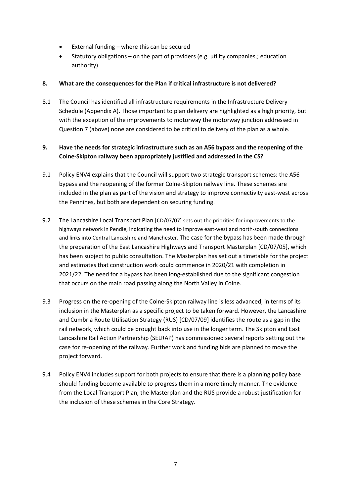- External funding where this can be secured
- Statutory obligations on the part of providers (e.g. utility companies,; education authority)

#### **8. What are the consequences for the Plan if critical infrastructure is not delivered?**

8.1 The Council has identified all infrastructure requirements in the Infrastructure Delivery Schedule (Appendix A). Those important to plan delivery are highlighted as a high priority, but with the exception of the improvements to motorway the motorway junction addressed in Question 7 (above) none are considered to be critical to delivery of the plan as a whole.

# **9. Have the needs for strategic infrastructure such as an A56 bypass and the reopening of the Colne-Skipton railway been appropriately justified and addressed in the CS?**

- 9.1 Policy ENV4 explains that the Council will support two strategic transport schemes: the A56 bypass and the reopening of the former Colne-Skipton railway line. These schemes are included in the plan as part of the vision and strategy to improve connectivity east-west across the Pennines, but both are dependent on securing funding.
- 9.2 The Lancashire Local Transport Plan [CD/07/07] sets out the priorities for improvements to the highways network in Pendle, indicating the need to improve east-west and north-south connections and links into Central Lancashire and Manchester. The case for the bypass has been made through the preparation of the East Lancashire Highways and Transport Masterplan [CD/07/05], which has been subject to public consultation. The Masterplan has set out a timetable for the project and estimates that construction work could commence in 2020/21 with completion in 2021/22. The need for a bypass has been long-established due to the significant congestion that occurs on the main road passing along the North Valley in Colne.
- 9.3 Progress on the re-opening of the Colne-Skipton railway line is less advanced, in terms of its inclusion in the Masterplan as a specific project to be taken forward. However, the Lancashire and Cumbria Route Utilisation Strategy (RUS) [CD/07/09] identifies the route as a gap in the rail network, which could be brought back into use in the longer term. The Skipton and East Lancashire Rail Action Partnership (SELRAP) has commissioned several reports setting out the case for re-opening of the railway. Further work and funding bids are planned to move the project forward.
- 9.4 Policy ENV4 includes support for both projects to ensure that there is a planning policy base should funding become available to progress them in a more timely manner. The evidence from the Local Transport Plan, the Masterplan and the RUS provide a robust justification for the inclusion of these schemes in the Core Strategy.